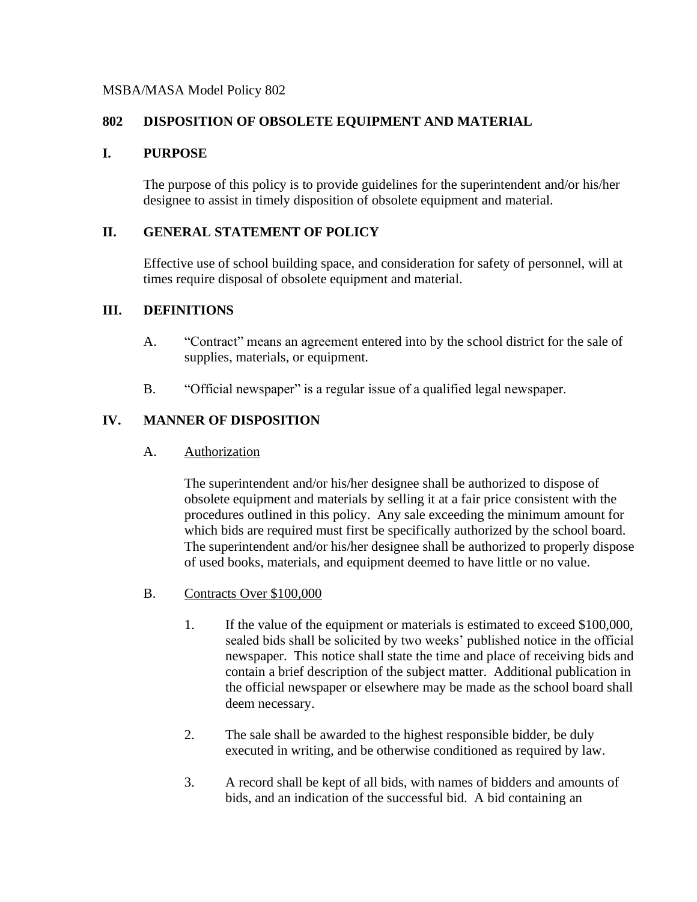### MSBA/MASA Model Policy 802

## **802 DISPOSITION OF OBSOLETE EQUIPMENT AND MATERIAL**

### **I. PURPOSE**

The purpose of this policy is to provide guidelines for the superintendent and/or his/her designee to assist in timely disposition of obsolete equipment and material.

### **II. GENERAL STATEMENT OF POLICY**

Effective use of school building space, and consideration for safety of personnel, will at times require disposal of obsolete equipment and material.

### **III. DEFINITIONS**

- A. "Contract" means an agreement entered into by the school district for the sale of supplies, materials, or equipment.
- B. "Official newspaper" is a regular issue of a qualified legal newspaper.

## **IV. MANNER OF DISPOSITION**

A. Authorization

The superintendent and/or his/her designee shall be authorized to dispose of obsolete equipment and materials by selling it at a fair price consistent with the procedures outlined in this policy. Any sale exceeding the minimum amount for which bids are required must first be specifically authorized by the school board. The superintendent and/or his/her designee shall be authorized to properly dispose of used books, materials, and equipment deemed to have little or no value.

- B. Contracts Over \$100,000
	- 1. If the value of the equipment or materials is estimated to exceed \$100,000, sealed bids shall be solicited by two weeks' published notice in the official newspaper. This notice shall state the time and place of receiving bids and contain a brief description of the subject matter. Additional publication in the official newspaper or elsewhere may be made as the school board shall deem necessary.
	- 2. The sale shall be awarded to the highest responsible bidder, be duly executed in writing, and be otherwise conditioned as required by law.
	- 3. A record shall be kept of all bids, with names of bidders and amounts of bids, and an indication of the successful bid. A bid containing an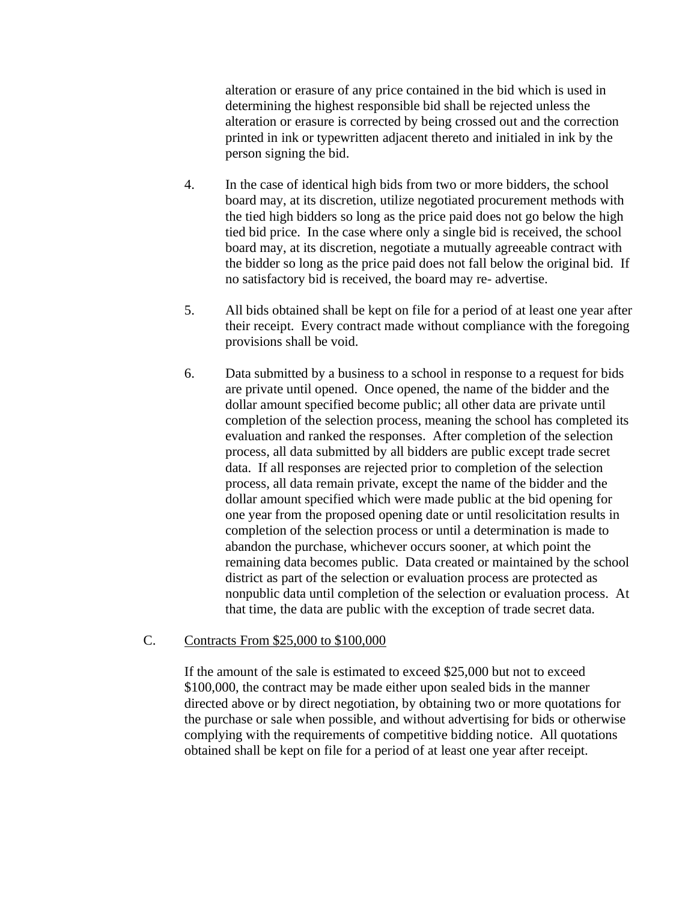alteration or erasure of any price contained in the bid which is used in determining the highest responsible bid shall be rejected unless the alteration or erasure is corrected by being crossed out and the correction printed in ink or typewritten adjacent thereto and initialed in ink by the person signing the bid.

- 4. In the case of identical high bids from two or more bidders, the school board may, at its discretion, utilize negotiated procurement methods with the tied high bidders so long as the price paid does not go below the high tied bid price. In the case where only a single bid is received, the school board may, at its discretion, negotiate a mutually agreeable contract with the bidder so long as the price paid does not fall below the original bid. If no satisfactory bid is received, the board may re- advertise.
- 5. All bids obtained shall be kept on file for a period of at least one year after their receipt. Every contract made without compliance with the foregoing provisions shall be void.
- 6. Data submitted by a business to a school in response to a request for bids are private until opened. Once opened, the name of the bidder and the dollar amount specified become public; all other data are private until completion of the selection process, meaning the school has completed its evaluation and ranked the responses. After completion of the selection process, all data submitted by all bidders are public except trade secret data. If all responses are rejected prior to completion of the selection process, all data remain private, except the name of the bidder and the dollar amount specified which were made public at the bid opening for one year from the proposed opening date or until resolicitation results in completion of the selection process or until a determination is made to abandon the purchase, whichever occurs sooner, at which point the remaining data becomes public. Data created or maintained by the school district as part of the selection or evaluation process are protected as nonpublic data until completion of the selection or evaluation process. At that time, the data are public with the exception of trade secret data.

#### C. Contracts From \$25,000 to \$100,000

If the amount of the sale is estimated to exceed \$25,000 but not to exceed \$100,000, the contract may be made either upon sealed bids in the manner directed above or by direct negotiation, by obtaining two or more quotations for the purchase or sale when possible, and without advertising for bids or otherwise complying with the requirements of competitive bidding notice. All quotations obtained shall be kept on file for a period of at least one year after receipt.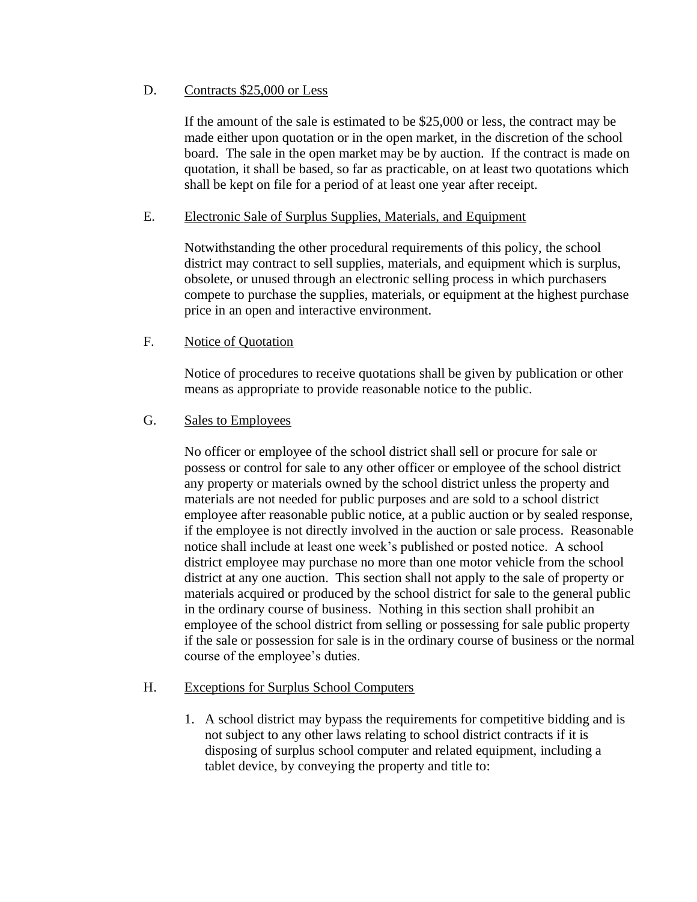## D. Contracts \$25,000 or Less

If the amount of the sale is estimated to be \$25,000 or less, the contract may be made either upon quotation or in the open market, in the discretion of the school board. The sale in the open market may be by auction. If the contract is made on quotation, it shall be based, so far as practicable, on at least two quotations which shall be kept on file for a period of at least one year after receipt.

## E. Electronic Sale of Surplus Supplies, Materials, and Equipment

Notwithstanding the other procedural requirements of this policy, the school district may contract to sell supplies, materials, and equipment which is surplus, obsolete, or unused through an electronic selling process in which purchasers compete to purchase the supplies, materials, or equipment at the highest purchase price in an open and interactive environment.

# F. Notice of Quotation

Notice of procedures to receive quotations shall be given by publication or other means as appropriate to provide reasonable notice to the public.

# G. Sales to Employees

No officer or employee of the school district shall sell or procure for sale or possess or control for sale to any other officer or employee of the school district any property or materials owned by the school district unless the property and materials are not needed for public purposes and are sold to a school district employee after reasonable public notice, at a public auction or by sealed response, if the employee is not directly involved in the auction or sale process. Reasonable notice shall include at least one week's published or posted notice. A school district employee may purchase no more than one motor vehicle from the school district at any one auction. This section shall not apply to the sale of property or materials acquired or produced by the school district for sale to the general public in the ordinary course of business. Nothing in this section shall prohibit an employee of the school district from selling or possessing for sale public property if the sale or possession for sale is in the ordinary course of business or the normal course of the employee's duties.

## H. Exceptions for Surplus School Computers

1. A school district may bypass the requirements for competitive bidding and is not subject to any other laws relating to school district contracts if it is disposing of surplus school computer and related equipment, including a tablet device, by conveying the property and title to: